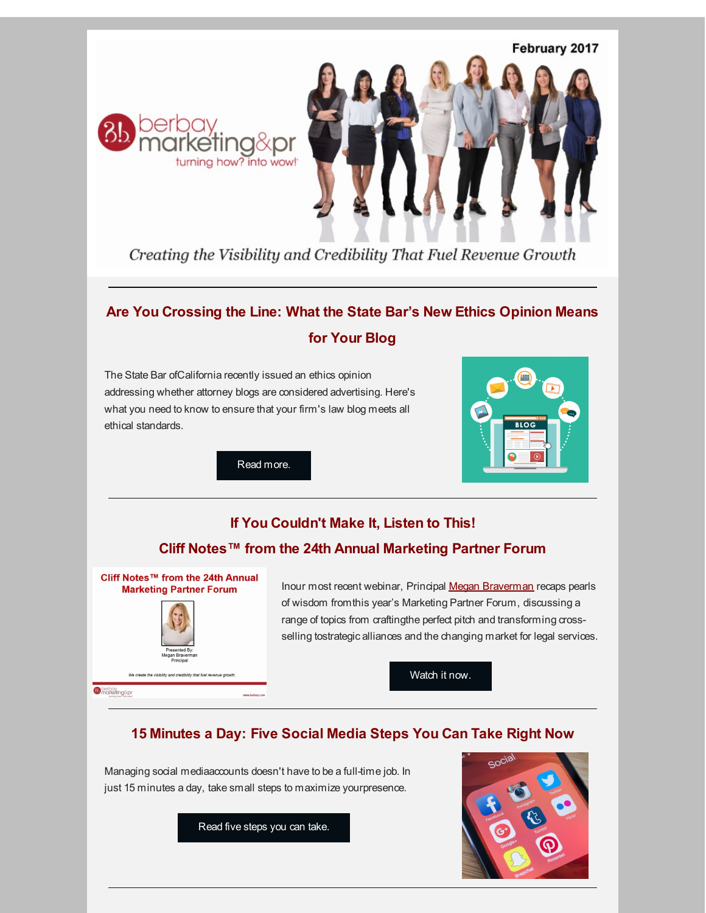



Creating the Visibility and Credibility That Fuel Revenue Growth

# **Are You Crossing the Line: What the State Bar's New Ethics Opinion Means for Your Blog**

The State Bar ofCalifornia recently issued an ethics opinion addressing whether attorney blogs are considered advertising. Here's what you need to know to ensure that your firm's law blog meets all ethical standards.



Read [more.](http://r20.rs6.net/tn.jsp?f=001E2oNXhWJzpkSrWjnx83y0tcZyBkLr37FGqq0KEwPj-RUh_6ls1YduUMMcYJRWwfTQM0lnKE9SQlQWFV265mn_P6R9AmE6--CLXd1hTCF948su5nXophAkMcZA-MnZv25Xik5grh0Hpp8iz5sWuPctmo2FbTrDT88GGw0FXADWPLH_iHmjV3SdQ==&c=&ch=)

## **If You Couldn't Make It, Listen to This!**

#### **Cliff Notes™ from the 24th Annual Marketing Partner Forum**



Inour most recent webinar, Principal Megan [Braverman](http://r20.rs6.net/tn.jsp?f=001E2oNXhWJzpkSrWjnx83y0tcZyBkLr37FGqq0KEwPj-RUh_6ls1YduZPQ6Zt0qElowRpisb0PjfEkBSN0yQJlCLogM8Enh2ckj4o5sljT7EO0xeh0U_NLT6HYyFzOxtmwuRZNk7ARG0AK9lgaXGPZFP5mpgI4K0esuUmMQ0Bt1Ma-4hwP0wGbht9hCIPZpl7O4BdZuJQEpds=&c=&ch=) recaps pearls of wisdom fromthis year's Marketing Partner Forum, discussing a range of topics from craftingthe perfect pitch and transforming crossselling tostrategic alliances and the changing market for legal services.

[Watch](http://r20.rs6.net/tn.jsp?f=001E2oNXhWJzpkSrWjnx83y0tcZyBkLr37FGqq0KEwPj-RUh_6ls1YduTRy1-IeDc6SEzINqMSH_Tj4XXL6NO1jl4kHf6qhMn7cpBBabi6P-fzIvKe-8x4FuOJHAUbjQOFWH5bUoNk0F2t3zTHLKMV26LlOfPF3LPCHFCwDbRXEeGe0_7PGiT3dqA==&c=&ch=) it now.

## **15 Minutes a Day: Five Social Media Steps You Can Take Right Now**

Managing social mediaaccounts doesn't have to be a full-time job. In just 15 minutes a day, take small steps to maximize yourpresence.

[Read](http://r20.rs6.net/tn.jsp?f=001E2oNXhWJzpkSrWjnx83y0tcZyBkLr37FGqq0KEwPj-RUh_6ls1YduUMMcYJRWwfTYAXStsawWxJUu652EVKgmDc7Q-OND_2MgVAiEBSbaweFE21-XPYyvcAAF1WBslsT-zzpDdlsanQ1MgXS8s5QAZU6Mrcwxezu5YKSjWUphvOPsYKUMrbbA9CE91fQwMxqeLP01ZLr9uQ=&c=&ch=) five steps you can take.